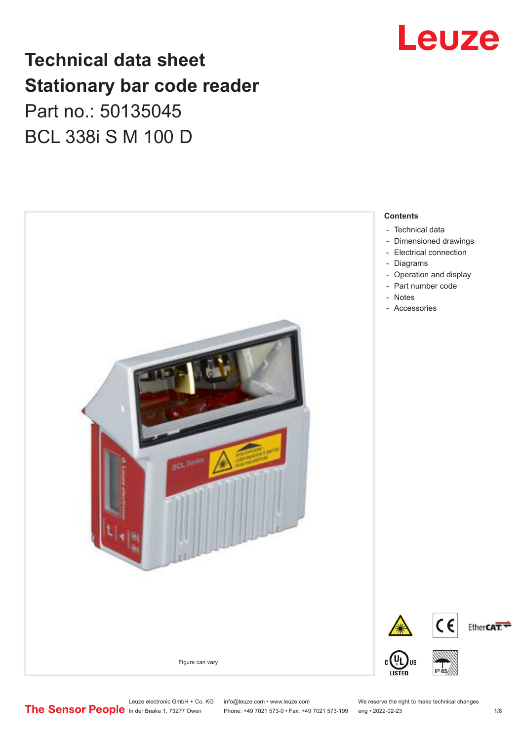### **Technical data sheet Stationary bar code reader** Part no.: 50135045 BCL 338i S M 100 D



### Leuze electronic GmbH + Co. KG info@leuze.com • www.leuze.com We reserve the right to make technical changes<br>
The Sensor People in der Braike 1, 73277 Owen Phone: +49 7021 573-0 • Fax: +49 7021 573-199 eng • 2022-02-23

Phone: +49 7021 573-0 • Fax: +49 7021 573-199 eng • 2022-02-23 1 /8

# Leuze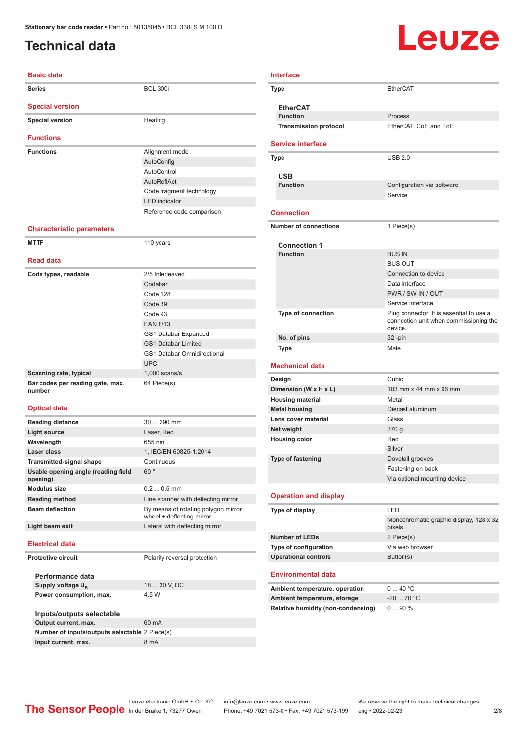#### <span id="page-1-0"></span>**Technical data**

## Leuze

| <b>Basic data</b>                               |                                                                  |
|-------------------------------------------------|------------------------------------------------------------------|
| <b>Series</b>                                   | <b>BCL 300i</b>                                                  |
| <b>Special version</b>                          |                                                                  |
| <b>Special version</b>                          | Heating                                                          |
| <b>Functions</b>                                |                                                                  |
| <b>Functions</b>                                | Alignment mode                                                   |
|                                                 | AutoConfig                                                       |
|                                                 | AutoControl                                                      |
|                                                 | AutoReflAct                                                      |
|                                                 | Code fragment technology                                         |
|                                                 | <b>LED</b> indicator                                             |
|                                                 | Reference code comparison                                        |
| <b>Characteristic parameters</b>                |                                                                  |
| <b>MTTF</b>                                     | 110 years                                                        |
| <b>Read data</b>                                |                                                                  |
| Code types, readable                            | 2/5 Interleaved                                                  |
|                                                 | Codabar                                                          |
|                                                 | Code 128                                                         |
|                                                 | Code 39                                                          |
|                                                 | Code 93                                                          |
|                                                 | <b>EAN 8/13</b>                                                  |
|                                                 | GS1 Databar Expanded                                             |
|                                                 | <b>GS1 Databar Limited</b>                                       |
|                                                 | <b>GS1 Databar Omnidirectional</b>                               |
|                                                 | <b>UPC</b>                                                       |
| Scanning rate, typical                          | $1,000$ scans/s                                                  |
| Bar codes per reading gate, max.<br>number      | 64 Piece(s)                                                      |
| <b>Optical data</b>                             |                                                                  |
| <b>Reading distance</b>                         | 30  290 mm                                                       |
| <b>Light source</b>                             | Laser, Red                                                       |
| Wavelength                                      | 655 nm                                                           |
| Laser class                                     | 1, IEC/EN 60825-1:2014                                           |
| Transmitted-signal shape                        | Continuous                                                       |
| Usable opening angle (reading field<br>opening) | 60°                                                              |
| <b>Modulus size</b>                             | $0.20.5$ mm                                                      |
| <b>Reading method</b>                           | Line scanner with deflecting mirror                              |
| <b>Beam deflection</b>                          | By means of rotating polygon mirror<br>wheel + deflecting mirror |
| Light beam exit                                 | Lateral with deflecting mirror                                   |
| <b>Electrical data</b>                          |                                                                  |
| <b>Protective circuit</b>                       | Polarity reversal protection                                     |
| Performance data                                |                                                                  |
| Supply voltage U <sub>B</sub>                   | 18  30 V, DC                                                     |
| Power consumption, max.                         | 4.5 W                                                            |
| Inputs/outputs selectable                       |                                                                  |
| Output current, max.                            | 60 mA                                                            |
| Number of inputs/outputs selectable 2 Piece(s)  |                                                                  |
| Input current, max.                             | 8 mA                                                             |

| <b>Interface</b>                       |                                                   |  |  |  |
|----------------------------------------|---------------------------------------------------|--|--|--|
| Type                                   | <b>EtherCAT</b>                                   |  |  |  |
| <b>EtherCAT</b>                        |                                                   |  |  |  |
| <b>Function</b>                        | Process                                           |  |  |  |
| <b>Transmission protocol</b>           | EtherCAT, CoE and EoE                             |  |  |  |
| <b>Service interface</b>               |                                                   |  |  |  |
|                                        |                                                   |  |  |  |
| Type                                   | <b>USB 2.0</b>                                    |  |  |  |
| <b>USB</b>                             |                                                   |  |  |  |
| <b>Function</b>                        | Configuration via software                        |  |  |  |
|                                        | Service                                           |  |  |  |
| <b>Connection</b>                      |                                                   |  |  |  |
| <b>Number of connections</b>           | 1 Piece(s)                                        |  |  |  |
|                                        |                                                   |  |  |  |
| <b>Connection 1</b><br><b>Function</b> | <b>BUS IN</b>                                     |  |  |  |
|                                        | <b>BUS OUT</b>                                    |  |  |  |
|                                        | Connection to device                              |  |  |  |
|                                        | Data interface                                    |  |  |  |
|                                        | PWR / SW IN / OUT                                 |  |  |  |
|                                        | Service interface                                 |  |  |  |
| Type of connection                     | Plug connector, It is essential to use a          |  |  |  |
|                                        | connection unit when commissioning the<br>device. |  |  |  |
| No. of pins                            | $32 - pin$                                        |  |  |  |
| Type                                   | Male                                              |  |  |  |
| <b>Mechanical data</b>                 |                                                   |  |  |  |
| Design                                 | Cubic                                             |  |  |  |
| Dimension (W x H x L)                  | 103 mm x 44 mm x 96 mm                            |  |  |  |
| <b>Housing material</b>                | Metal                                             |  |  |  |
| <b>Metal housing</b>                   | Diecast aluminum                                  |  |  |  |
| Lens cover material                    | Glass                                             |  |  |  |
| Net weight                             | 370 g                                             |  |  |  |
| <b>Housing color</b>                   | Red                                               |  |  |  |
|                                        | Silver                                            |  |  |  |
| <b>Type of fastening</b>               | Dovetail grooves                                  |  |  |  |
|                                        | Fastening on back                                 |  |  |  |
|                                        | Via optional mounting device                      |  |  |  |
|                                        |                                                   |  |  |  |
| <b>Operation and display</b>           |                                                   |  |  |  |
| Type of display                        | <b>LED</b>                                        |  |  |  |
|                                        | Monochromatic graphic display, 128 x 32           |  |  |  |
| <b>Number of LEDs</b>                  | pixels                                            |  |  |  |
| Type of configuration                  | 2 Piece(s)<br>Via web browser                     |  |  |  |
| <b>Operational controls</b>            | Button(s)                                         |  |  |  |
|                                        |                                                   |  |  |  |
| <b>Environmental data</b>              |                                                   |  |  |  |
| Ambient temperature, operation         | 040 °C                                            |  |  |  |
| Ambient temperature, storage           | $-20$ 70 °C                                       |  |  |  |
| Relative humidity (non-condensing)     | 090%                                              |  |  |  |
|                                        |                                                   |  |  |  |
|                                        |                                                   |  |  |  |
|                                        |                                                   |  |  |  |
|                                        |                                                   |  |  |  |
|                                        |                                                   |  |  |  |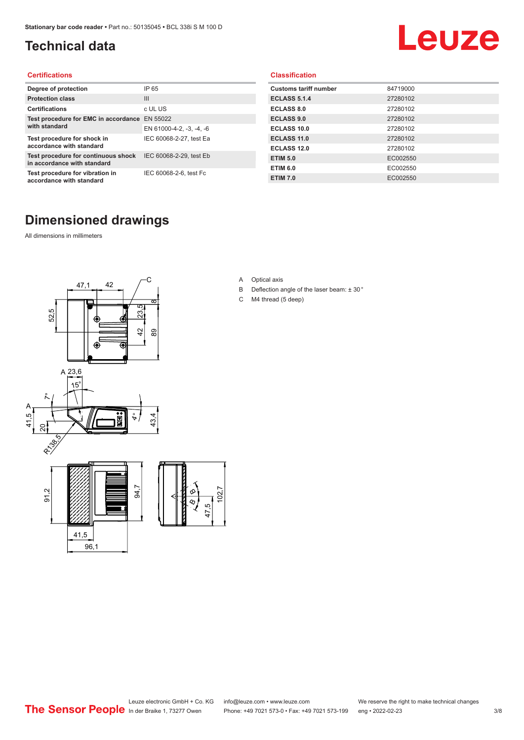#### <span id="page-2-0"></span>**Technical data**

## Leuze

#### **Certifications**

| Degree of protection                                               | IP 65                    |
|--------------------------------------------------------------------|--------------------------|
| <b>Protection class</b>                                            | $\mathbf{III}$           |
| <b>Certifications</b>                                              | c UL US                  |
| Test procedure for EMC in accordance                               | EN 55022                 |
| with standard                                                      | EN 61000-4-2, -3, -4, -6 |
| Test procedure for shock in<br>accordance with standard            | IEC 60068-2-27, test Ea  |
| Test procedure for continuous shock<br>in accordance with standard | IEC 60068-2-29, test Eb  |
| Test procedure for vibration in<br>accordance with standard        | IEC 60068-2-6, test Fc   |

#### **Classification**

| <b>Customs tariff number</b> | 84719000 |
|------------------------------|----------|
| <b>ECLASS 5.1.4</b>          | 27280102 |
| <b>ECLASS 8.0</b>            | 27280102 |
| <b>ECLASS 9.0</b>            | 27280102 |
| ECLASS 10.0                  | 27280102 |
| <b>ECLASS 11.0</b>           | 27280102 |
| ECLASS 12.0                  | 27280102 |
| <b>ETIM 5.0</b>              | EC002550 |
| <b>ETIM 6.0</b>              | EC002550 |
| <b>ETIM 7.0</b>              | EC002550 |

#### **Dimensioned drawings**

All dimensions in millimeters





- B Deflection angle of the laser beam: ± 30 °
- C M4 thread (5 deep)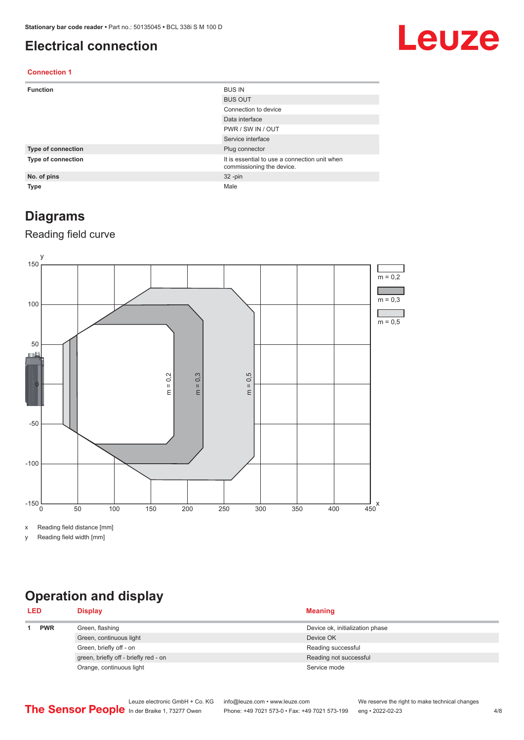#### <span id="page-3-0"></span>**Electrical connection**

### Leuze

#### **Connection 1**

| <b>Function</b>    | <b>BUS IN</b>                                                              |
|--------------------|----------------------------------------------------------------------------|
|                    | <b>BUS OUT</b>                                                             |
|                    | Connection to device                                                       |
|                    | Data interface                                                             |
|                    | PWR / SW IN / OUT                                                          |
|                    | Service interface                                                          |
| Type of connection | Plug connector                                                             |
| Type of connection | It is essential to use a connection unit when<br>commissioning the device. |
| No. of pins        | $32 - pin$                                                                 |
| <b>Type</b>        | Male                                                                       |

#### **Diagrams**

#### Reading field curve



x Reading field distance [mm]

y Reading field width [mm]

### **Operation and display**

| <b>LED</b> |  | <b>Display</b>                        | <b>Meaning</b>                  |  |
|------------|--|---------------------------------------|---------------------------------|--|
| <b>PWR</b> |  | Green, flashing                       | Device ok, initialization phase |  |
|            |  | Green, continuous light               | Device OK                       |  |
|            |  | Green, briefly off - on               | Reading successful              |  |
|            |  | green, briefly off - briefly red - on | Reading not successful          |  |
|            |  | Orange, continuous light              | Service mode                    |  |
|            |  |                                       |                                 |  |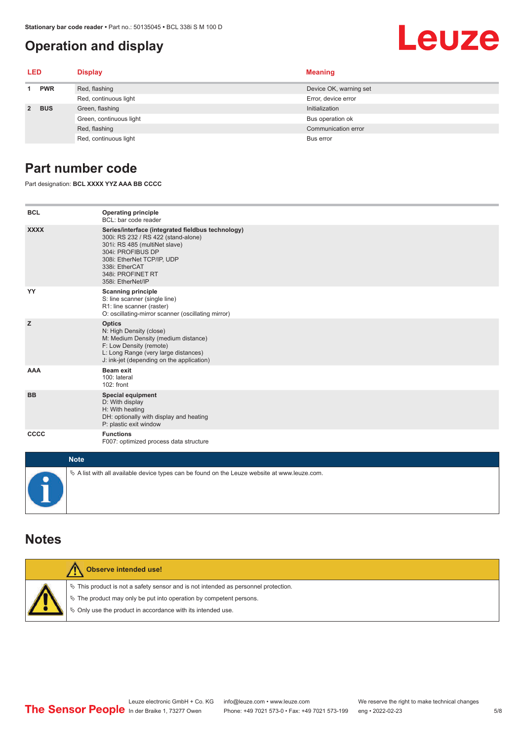#### <span id="page-4-0"></span>**Operation and display**

## Leuze

| <b>LED</b>  |            | <b>Display</b>          | <b>Meaning</b>         |
|-------------|------------|-------------------------|------------------------|
| <b>PWR</b>  |            | Red, flashing           | Device OK, warning set |
|             |            | Red, continuous light   | Error, device error    |
| $2^{\circ}$ | <b>BUS</b> | Green, flashing         | Initialization         |
|             |            | Green, continuous light | Bus operation ok       |
|             |            | Red, flashing           | Communication error    |
|             |            | Red, continuous light   | Bus error              |

#### **Part number code**

Part designation: **BCL XXXX YYZ AAA BB CCCC**

| <b>BCL</b>  | <b>Operating principle</b><br>BCL: bar code reader                                                                                                                                                                                       |
|-------------|------------------------------------------------------------------------------------------------------------------------------------------------------------------------------------------------------------------------------------------|
| <b>XXXX</b> | Series/interface (integrated fieldbus technology)<br>300i: RS 232 / RS 422 (stand-alone)<br>301i: RS 485 (multiNet slave)<br>304i: PROFIBUS DP<br>308i: EtherNet TCP/IP, UDP<br>338i: EtherCAT<br>348i: PROFINET RT<br>358i: EtherNet/IP |
| YY          | <b>Scanning principle</b><br>S: line scanner (single line)<br>R1: line scanner (raster)<br>O: oscillating-mirror scanner (oscillating mirror)                                                                                            |
| z           | <b>Optics</b><br>N: High Density (close)<br>M: Medium Density (medium distance)<br>F: Low Density (remote)<br>L: Long Range (very large distances)<br>J: ink-jet (depending on the application)                                          |
| <b>AAA</b>  | <b>Beam exit</b><br>100: lateral<br>102: front                                                                                                                                                                                           |
| <b>BB</b>   | <b>Special equipment</b><br>D: With display<br>H: With heating<br>DH: optionally with display and heating<br>P: plastic exit window                                                                                                      |
| CCCC        | <b>Functions</b><br>F007: optimized process data structure                                                                                                                                                                               |
| $1.1 - 4.1$ |                                                                                                                                                                                                                                          |

| <b>Note</b>                                                                                  |
|----------------------------------------------------------------------------------------------|
| % A list with all available device types can be found on the Leuze website at www.leuze.com. |

#### **Notes**

| Observe intended use!                                                                                                                                                                                                      |
|----------------------------------------------------------------------------------------------------------------------------------------------------------------------------------------------------------------------------|
| $\%$ This product is not a safety sensor and is not intended as personnel protection.<br>₹ The product may only be put into operation by competent persons.<br>♦ Only use the product in accordance with its intended use. |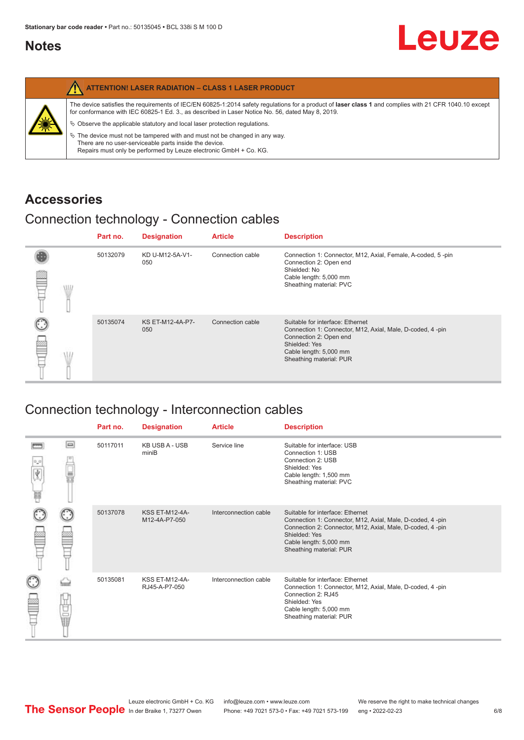#### <span id="page-5-0"></span>**Notes**

|   | <b>ATTENTION! LASER RADIATION - CLASS 1 LASER PRODUCT</b>                                                                                                                                                                                                                                                                                                                                                                                                                                                                                                   |
|---|-------------------------------------------------------------------------------------------------------------------------------------------------------------------------------------------------------------------------------------------------------------------------------------------------------------------------------------------------------------------------------------------------------------------------------------------------------------------------------------------------------------------------------------------------------------|
| 纂 | The device satisfies the requirements of IEC/EN 60825-1:2014 safety regulations for a product of laser class 1 and complies with 21 CFR 1040.10 except<br>for conformance with IEC 60825-1 Ed. 3., as described in Laser Notice No. 56, dated May 8, 2019.<br>$\%$ Observe the applicable statutory and local laser protection regulations.<br>$\%$ The device must not be tampered with and must not be changed in any way.<br>There are no user-serviceable parts inside the device.<br>Repairs must only be performed by Leuze electronic GmbH + Co. KG. |

#### **Accessories**

#### Connection technology - Connection cables

|   |   | Part no. | <b>Designation</b>      | <b>Article</b>   | <b>Description</b>                                                                                                                                                                            |
|---|---|----------|-------------------------|------------------|-----------------------------------------------------------------------------------------------------------------------------------------------------------------------------------------------|
| ≌ | W | 50132079 | KD U-M12-5A-V1-<br>050  | Connection cable | Connection 1: Connector, M12, Axial, Female, A-coded, 5-pin<br>Connection 2: Open end<br>Shielded: No<br>Cable length: 5,000 mm<br>Sheathing material: PVC                                    |
|   |   | 50135074 | KS ET-M12-4A-P7-<br>050 | Connection cable | Suitable for interface: Ethernet<br>Connection 1: Connector, M12, Axial, Male, D-coded, 4-pin<br>Connection 2: Open end<br>Shielded: Yes<br>Cable length: 5,000 mm<br>Sheathing material: PUR |

#### Connection technology - Interconnection cables

|                           |                                                                                                                                                                                                                                | Part no. | <b>Designation</b>                     | <b>Article</b>        | <b>Description</b>                                                                                                                                                                                                               |
|---------------------------|--------------------------------------------------------------------------------------------------------------------------------------------------------------------------------------------------------------------------------|----------|----------------------------------------|-----------------------|----------------------------------------------------------------------------------------------------------------------------------------------------------------------------------------------------------------------------------|
| $\frac{1}{\sqrt{2}}$<br>Ħ | $\Box$                                                                                                                                                                                                                         | 50117011 | <b>KB USB A - USB</b><br>miniB         | Service line          | Suitable for interface: USB<br>Connection 1: USB<br>Connection 2: USB<br>Shielded: Yes<br>Cable length: 1,500 mm<br>Sheathing material: PVC                                                                                      |
|                           |                                                                                                                                                                                                                                | 50137078 | <b>KSS ET-M12-4A-</b><br>M12-4A-P7-050 | Interconnection cable | Suitable for interface: Ethernet<br>Connection 1: Connector, M12, Axial, Male, D-coded, 4-pin<br>Connection 2: Connector, M12, Axial, Male, D-coded, 4-pin<br>Shielded: Yes<br>Cable length: 5,000 mm<br>Sheathing material: PUR |
|                           | the filled the control in the control in the control in the control in the control in the control in the control in the control in the control in the control in the control in the control in the control in the control in t | 50135081 | <b>KSS ET-M12-4A-</b><br>RJ45-A-P7-050 | Interconnection cable | Suitable for interface: Ethernet<br>Connection 1: Connector, M12, Axial, Male, D-coded, 4-pin<br>Connection 2: RJ45<br>Shielded: Yes<br>Cable length: 5,000 mm<br>Sheathing material: PUR                                        |

Leuze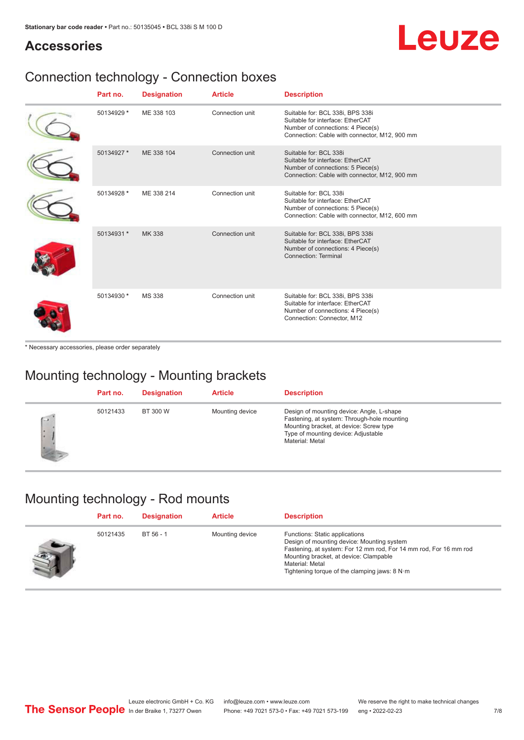## Leuze

#### **Accessories**

### Connection technology - Connection boxes

| Part no.   | <b>Designation</b> | <b>Article</b>  | <b>Description</b>                                                                                                                                         |
|------------|--------------------|-----------------|------------------------------------------------------------------------------------------------------------------------------------------------------------|
| 50134929 * | ME 338 103         | Connection unit | Suitable for: BCL 338i, BPS 338i<br>Suitable for interface: EtherCAT<br>Number of connections: 4 Piece(s)<br>Connection: Cable with connector, M12, 900 mm |
| 50134927 * | ME 338 104         | Connection unit | Suitable for: BCL 338i<br>Suitable for interface: EtherCAT<br>Number of connections: 5 Piece(s)<br>Connection: Cable with connector, M12, 900 mm           |
| 50134928 * | ME 338 214         | Connection unit | Suitable for: BCL 338i<br>Suitable for interface: EtherCAT<br>Number of connections: 5 Piece(s)<br>Connection: Cable with connector, M12, 600 mm           |
| 50134931 * | <b>MK338</b>       | Connection unit | Suitable for: BCL 338i, BPS 338i<br>Suitable for interface: EtherCAT<br>Number of connections: 4 Piece(s)<br>Connection: Terminal                          |
| 50134930 * | <b>MS 338</b>      | Connection unit | Suitable for: BCL 338i, BPS 338i<br>Suitable for interface: EtherCAT<br>Number of connections: 4 Piece(s)<br>Connection: Connector, M12                    |

\* Necessary accessories, please order separately

#### Mounting technology - Mounting brackets

|        | Part no. | <b>Designation</b> | <b>Article</b>  | <b>Description</b>                                                                                                                                                                            |
|--------|----------|--------------------|-----------------|-----------------------------------------------------------------------------------------------------------------------------------------------------------------------------------------------|
| œ<br>٠ | 50121433 | BT 300 W           | Mounting device | Design of mounting device: Angle, L-shape<br>Fastening, at system: Through-hole mounting<br>Mounting bracket, at device: Screw type<br>Type of mounting device: Adjustable<br>Material: Metal |

#### Mounting technology - Rod mounts

| Part no. | <b>Designation</b> | <b>Article</b>  | <b>Description</b>                                                                                                                                                                                                                                                |
|----------|--------------------|-----------------|-------------------------------------------------------------------------------------------------------------------------------------------------------------------------------------------------------------------------------------------------------------------|
| 50121435 | BT 56 - 1          | Mounting device | Functions: Static applications<br>Design of mounting device: Mounting system<br>Fastening, at system: For 12 mm rod, For 14 mm rod, For 16 mm rod<br>Mounting bracket, at device: Clampable<br>Material: Metal<br>Tightening torque of the clamping jaws: $8 N·m$ |